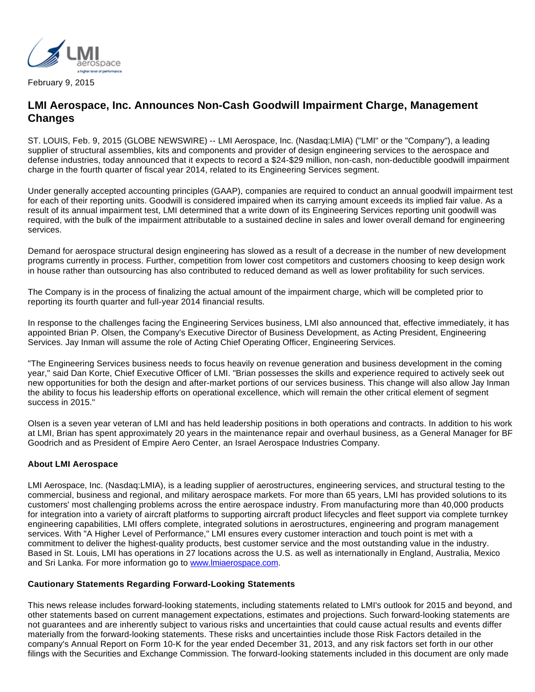

February 9, 2015

## **LMI Aerospace, Inc. Announces Non-Cash Goodwill Impairment Charge, Management Changes**

ST. LOUIS, Feb. 9, 2015 (GLOBE NEWSWIRE) -- LMI Aerospace, Inc. (Nasdaq:LMIA) ("LMI" or the "Company"), a leading supplier of structural assemblies, kits and components and provider of design engineering services to the aerospace and defense industries, today announced that it expects to record a \$24-\$29 million, non-cash, non-deductible goodwill impairment charge in the fourth quarter of fiscal year 2014, related to its Engineering Services segment.

Under generally accepted accounting principles (GAAP), companies are required to conduct an annual goodwill impairment test for each of their reporting units. Goodwill is considered impaired when its carrying amount exceeds its implied fair value. As a result of its annual impairment test, LMI determined that a write down of its Engineering Services reporting unit goodwill was required, with the bulk of the impairment attributable to a sustained decline in sales and lower overall demand for engineering services.

Demand for aerospace structural design engineering has slowed as a result of a decrease in the number of new development programs currently in process. Further, competition from lower cost competitors and customers choosing to keep design work in house rather than outsourcing has also contributed to reduced demand as well as lower profitability for such services.

The Company is in the process of finalizing the actual amount of the impairment charge, which will be completed prior to reporting its fourth quarter and full-year 2014 financial results.

In response to the challenges facing the Engineering Services business, LMI also announced that, effective immediately, it has appointed Brian P. Olsen, the Company's Executive Director of Business Development, as Acting President, Engineering Services. Jay Inman will assume the role of Acting Chief Operating Officer, Engineering Services.

"The Engineering Services business needs to focus heavily on revenue generation and business development in the coming year," said Dan Korte, Chief Executive Officer of LMI. "Brian possesses the skills and experience required to actively seek out new opportunities for both the design and after-market portions of our services business. This change will also allow Jay Inman the ability to focus his leadership efforts on operational excellence, which will remain the other critical element of segment success in 2015."

Olsen is a seven year veteran of LMI and has held leadership positions in both operations and contracts. In addition to his work at LMI, Brian has spent approximately 20 years in the maintenance repair and overhaul business, as a General Manager for BF Goodrich and as President of Empire Aero Center, an Israel Aerospace Industries Company.

## **About LMI Aerospace**

LMI Aerospace, Inc. (Nasdaq:LMIA), is a leading supplier of aerostructures, engineering services, and structural testing to the commercial, business and regional, and military aerospace markets. For more than 65 years, LMI has provided solutions to its customers' most challenging problems across the entire aerospace industry. From manufacturing more than 40,000 products for integration into a variety of aircraft platforms to supporting aircraft product lifecycles and fleet support via complete turnkey engineering capabilities, LMI offers complete, integrated solutions in aerostructures, engineering and program management services. With "A Higher Level of Performance," LMI ensures every customer interaction and touch point is met with a commitment to deliver the highest-quality products, best customer service and the most outstanding value in the industry. Based in St. Louis, LMI has operations in 27 locations across the U.S. as well as internationally in England, Australia, Mexico and Sri Lanka. For more information go to www. Imiaerospace.com.

## **Cautionary Statements Regarding Forward-Looking Statements**

This news release includes forward-looking statements, including statements related to LMI's outlook for 2015 and beyond, and other statements based on current management expectations, estimates and projections. Such forward-looking statements are not guarantees and are inherently subject to various risks and uncertainties that could cause actual results and events differ materially from the forward-looking statements. These risks and uncertainties include those Risk Factors detailed in the company's Annual Report on Form 10-K for the year ended December 31, 2013, and any risk factors set forth in our other filings with the Securities and Exchange Commission. The forward-looking statements included in this document are only made